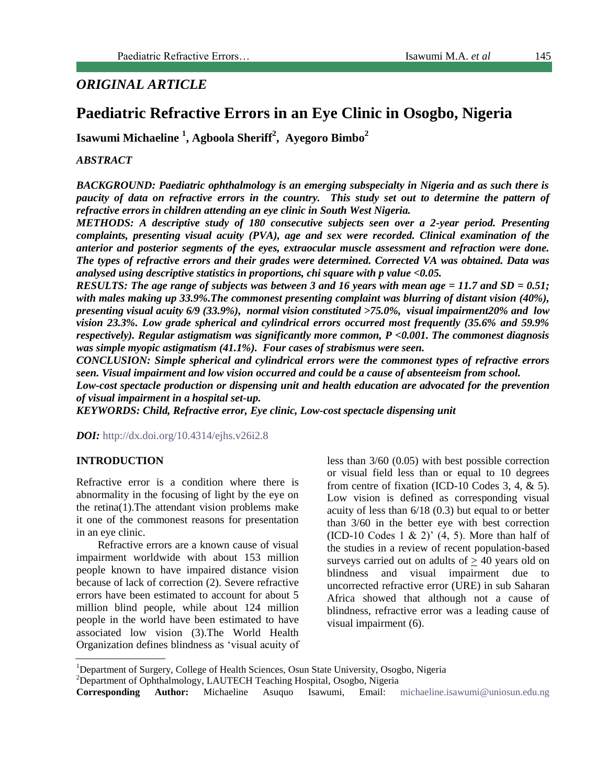# *ORIGINAL ARTICLE*

# **Paediatric Refractive Errors in an Eye Clinic in Osogbo, Nigeria**

**Isawumi Michaeline <sup>1</sup> , Agboola Sheriff<sup>2</sup> , Ayegoro Bimbo<sup>2</sup>**

#### *ABSTRACT*

*BACKGROUND: Paediatric ophthalmology is an emerging subspecialty in Nigeria and as such there is paucity of data on refractive errors in the country. This study set out to determine the pattern of refractive errors in children attending an eye clinic in South West Nigeria.*

*METHODS: A descriptive study of 180 consecutive subjects seen over a 2-year period. Presenting complaints, presenting visual acuity (PVA), age and sex were recorded. Clinical examination of the anterior and posterior segments of the eyes, extraocular muscle assessment and refraction were done. The types of refractive errors and their grades were determined. Corrected VA was obtained. Data was analysed using descriptive statistics in proportions, chi square with p value <0.05.*

*RESULTS: The age range of subjects was between 3 and 16 years with mean age = 11.7 and SD = 0.51; with males making up 33.9%.The commonest presenting complaint was blurring of distant vision (40%), presenting visual acuity 6/9 (33.9%), normal vision constituted >75.0%, visual impairment20% and low vision 23.3%. Low grade spherical and cylindrical errors occurred most frequently (35.6% and 59.9% respectively). Regular astigmatism was significantly more common, P <0.001. The commonest diagnosis was simple myopic astigmatism (41.1%). Four cases of strabismus were seen.*

*CONCLUSION: Simple spherical and cylindrical errors were the commonest types of refractive errors seen. Visual impairment and low vision occurred and could be a cause of absenteeism from school.*

*Low-cost spectacle production or dispensing unit and health education are advocated for the prevention of visual impairment in a hospital set-up.*

*KEYWORDS: Child, Refractive error, Eye clinic, Low-cost spectacle dispensing unit*

*DOI:* <http://dx.doi.org/10.4314/ejhs.v26i2.8>

#### **INTRODUCTION**

Refractive error is a condition where there is abnormality in the focusing of light by the eye on the retina(1).The attendant vision problems make it one of the commonest reasons for presentation in an eye clinic.

Refractive errors are a known cause of visual impairment worldwide with about 153 million people known to have impaired distance vision because of lack of correction (2). Severe refractive errors have been estimated to account for about 5 million blind people, while about 124 million people in the world have been estimated to have associated low vision (3).The World Health Organization defines blindness as 'visual acuity of

less than 3/60 (0.05) with best possible correction or visual field less than or equal to 10 degrees from centre of fixation (ICD-10 Codes 3, 4, & 5). Low vision is defined as corresponding visual acuity of less than 6/18 (0.3) but equal to or better than 3/60 in the better eye with best correction  $(ICD-10)$  Codes 1 & 2)'  $(4, 5)$ . More than half of the studies in a review of recent population-based surveys carried out on adults of  $\geq$  40 years old on blindness and visual impairment due to uncorrected refractive error (URE) in sub Saharan Africa showed that although not a cause of blindness, refractive error was a leading cause of visual impairment (6).

<sup>&</sup>lt;sup>1</sup>Department of Surgery, College of Health Sciences, Osun State University, Osogbo, Nigeria

 $2$ Department of Ophthalmology, LAUTECH Teaching Hospital, Osogbo, Nigeria

**Corresponding Author:** Michaeline Asuquo Isawumi, Email: [michaeline.isawumi@uniosun.edu.ng](mailto:michaeline.isawumi@uniosun.edu.ng)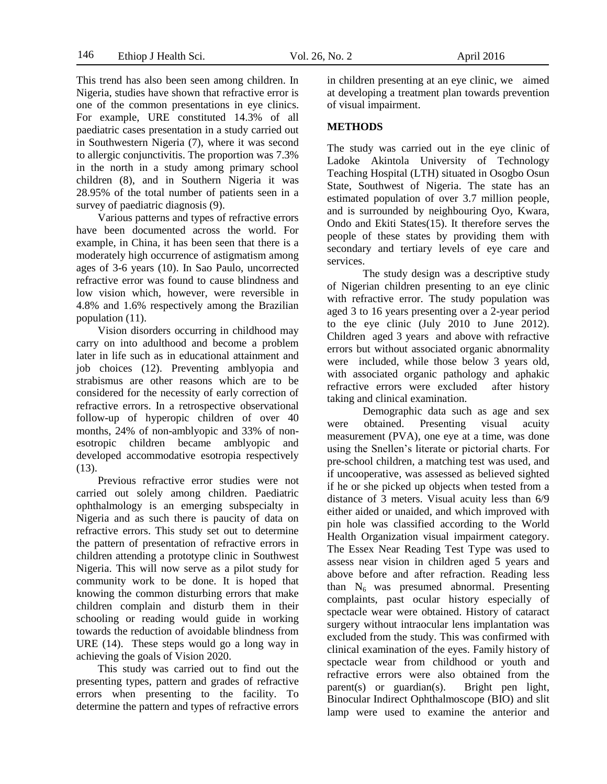This trend has also been seen among children. In Nigeria, studies have shown that refractive error is one of the common presentations in eye clinics. For example, URE constituted 14.3% of all paediatric cases presentation in a study carried out in Southwestern Nigeria (7), where it was second to allergic conjunctivitis. The proportion was 7.3% in the north in a study among primary school children (8), and in Southern Nigeria it was 28.95% of the total number of patients seen in a survey of paediatric diagnosis (9).

Various patterns and types of refractive errors have been documented across the world. For example, in China, it has been seen that there is a moderately high occurrence of astigmatism among ages of 3-6 years (10). In Sao Paulo, uncorrected refractive error was found to cause blindness and low vision which, however, were reversible in 4.8% and 1.6% respectively among the Brazilian population (11).

Vision disorders occurring in childhood may carry on into adulthood and become a problem later in life such as in educational attainment and job choices (12). Preventing amblyopia and strabismus are other reasons which are to be considered for the necessity of early correction of refractive errors. In a retrospective observational follow-up of hyperopic children of over 40 months, 24% of non-amblyopic and 33% of nonesotropic children became amblyopic and developed accommodative esotropia respectively (13).

Previous refractive error studies were not carried out solely among children. Paediatric ophthalmology is an emerging subspecialty in Nigeria and as such there is paucity of data on refractive errors. This study set out to determine the pattern of presentation of refractive errors in children attending a prototype clinic in Southwest Nigeria. This will now serve as a pilot study for community work to be done. It is hoped that knowing the common disturbing errors that make children complain and disturb them in their schooling or reading would guide in working towards the reduction of avoidable blindness from URE (14). These steps would go a long way in achieving the goals of Vision 2020.

This study was carried out to find out the presenting types, pattern and grades of refractive errors when presenting to the facility. To determine the pattern and types of refractive errors in children presenting at an eye clinic, we aimed at developing a treatment plan towards prevention of visual impairment.

#### **METHODS**

The study was carried out in the eye clinic of Ladoke Akintola University of Technology Teaching Hospital (LTH) situated in Osogbo Osun State, Southwest of Nigeria. The state has an estimated population of over 3.7 million people, and is surrounded by neighbouring Oyo, Kwara, Ondo and Ekiti States(15). It therefore serves the people of these states by providing them with secondary and tertiary levels of eye care and services.

The study design was a descriptive study of Nigerian children presenting to an eye clinic with refractive error. The study population was aged 3 to 16 years presenting over a 2-year period to the eye clinic (July 2010 to June 2012). Children aged 3 years and above with refractive errors but without associated organic abnormality were included, while those below 3 years old, with associated organic pathology and aphakic refractive errors were excluded after history taking and clinical examination.

Demographic data such as age and sex were obtained. Presenting visual acuity measurement (PVA), one eye at a time, was done using the Snellen's literate or pictorial charts. For pre-school children, a matching test was used, and if uncooperative, was assessed as believed sighted if he or she picked up objects when tested from a distance of 3 meters. Visual acuity less than 6/9 either aided or unaided, and which improved with pin hole was classified according to the World Health Organization visual impairment category. The Essex Near Reading Test Type was used to assess near vision in children aged 5 years and above before and after refraction. Reading less than  $N_6$  was presumed abnormal. Presenting complaints, past ocular history especially of spectacle wear were obtained. History of cataract surgery without intraocular lens implantation was excluded from the study. This was confirmed with clinical examination of the eyes. Family history of spectacle wear from childhood or youth and refractive errors were also obtained from the parent(s) or guardian(s). Bright pen light, Binocular Indirect Ophthalmoscope (BIO) and slit lamp were used to examine the anterior and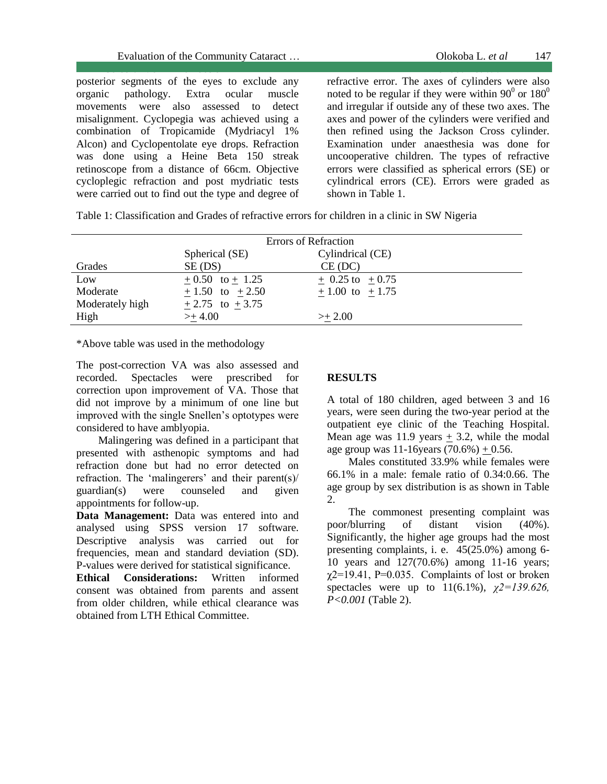posterior segments of the eyes to exclude any organic pathology. Extra ocular muscle movements were also assessed to detect misalignment. Cyclopegia was achieved using a combination of Tropicamide (Mydriacyl 1% Alcon) and Cyclopentolate eye drops. Refraction was done using a Heine Beta 150 streak retinoscope from a distance of 66cm. Objective cycloplegic refraction and post mydriatic tests were carried out to find out the type and degree of

 Cerebral Vein Thrombosis Feridoun S. *et al* refractive error. The axes of cylinders were also noted to be regular if they were within  $90^{\circ}$  or  $180^{\circ}$ and irregular if outside any of these two axes. The axes and power of the cylinders were verified and then refined using the Jackson Cross cylinder. Examination under anaesthesia was done for uncooperative children. The types of refractive errors were classified as spherical errors (SE) or cylindrical errors (CE). Errors were graded as shown in Table 1.

Table 1: Classification and Grades of refractive errors for children in a clinic in SW Nigeria

| <b>Errors of Refraction</b> |                          |                            |  |  |
|-----------------------------|--------------------------|----------------------------|--|--|
|                             | Spherical (SE)           | Cylindrical (CE)           |  |  |
| Grades                      | SE (DS)                  | CE (DC)                    |  |  |
| Low                         | $+0.50$ to $+1.25$       | $+ 0.25 \text{ to } +0.75$ |  |  |
| Moderate                    | $+1.50$ to $+2.50$       | $+1.00$ to $+1.75$         |  |  |
| Moderately high             | $\pm 2.75$ to $\pm 3.75$ |                            |  |  |
| High                        | $> + 4.00$               | $>+2.00$                   |  |  |

\*Above table was used in the methodology

The post-correction VA was also assessed and recorded. Spectacles were prescribed for correction upon improvement of VA. Those that did not improve by a minimum of one line but improved with the single Snellen's optotypes were considered to have amblyopia.

 Malingering was defined in a participant that presented with asthenopic symptoms and had refraction done but had no error detected on refraction. The 'malingerers' and their parent(s)/ guardian(s) were counseled and given appointments for follow-up.

**Data Management:** Data was entered into and analysed using SPSS version 17 software. Descriptive analysis was carried out for frequencies, mean and standard deviation (SD). P-values were derived for statistical significance.

**Ethical Considerations:** Written informed consent was obtained from parents and assent from older children, while ethical clearance was obtained from LTH Ethical Committee.

### **RESULTS**

A total of 180 children, aged between 3 and 16 years, were seen during the two-year period at the outpatient eye clinic of the Teaching Hospital. Mean age was  $11.9$  years  $+3.2$ , while the modal age group was  $11-16$ years  $(70.6%) + 0.56$ .

Males constituted 33.9% while females were 66.1% in a male: female ratio of 0.34:0.66. The age group by sex distribution is as shown in Table 2.

The commonest presenting complaint was poor/blurring of distant vision (40%). Significantly, the higher age groups had the most presenting complaints, i. e. 45(25.0%) among 6- 10 years and 127(70.6%) among 11-16 years;  $\gamma$ 2=19.41, P=0.035. Complaints of lost or broken spectacles were up to 11(6.1%), *χ2=139.626, P<0.001* (Table 2).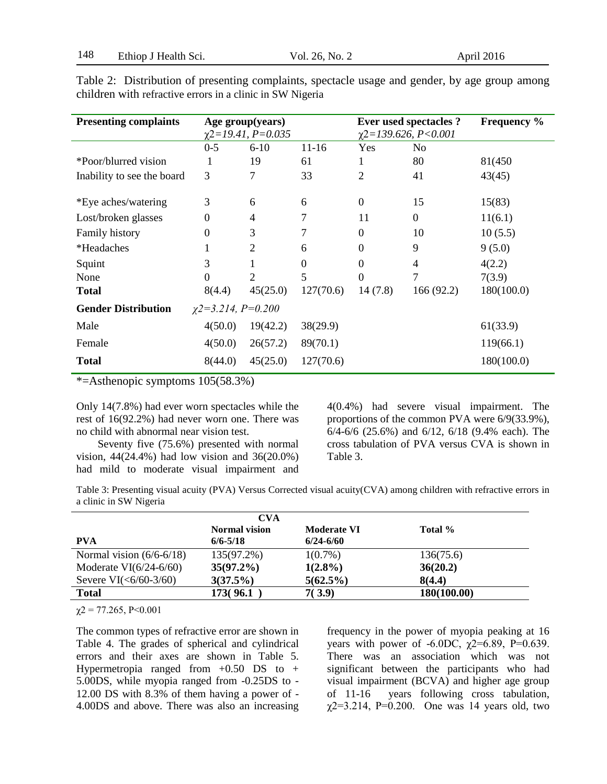| <b>Presenting complaints</b>                          | Age group(years)        |                | <b>Ever used spectacles ?</b> |                           | <b>Frequency</b> % |            |
|-------------------------------------------------------|-------------------------|----------------|-------------------------------|---------------------------|--------------------|------------|
|                                                       | $\chi$ 2=19.41, P=0.035 |                |                               | $\chi$ 2=139.626, P<0.001 |                    |            |
|                                                       | $0 - 5$                 | $6 - 10$       | $11-16$                       | Yes                       | N <sub>0</sub>     |            |
| *Poor/blurred vision                                  |                         | 19             | 61                            | 1                         | 80                 | 81(450)    |
| Inability to see the board                            | 3                       | 7              | 33                            | $\overline{2}$            | 41                 | 43(45)     |
|                                                       |                         |                |                               |                           |                    |            |
| *Eye aches/watering                                   | 3                       | 6              | 6                             | $\boldsymbol{0}$          | 15                 | 15(83)     |
| Lost/broken glasses                                   | $\theta$                | 4              | 7                             | 11                        | $\boldsymbol{0}$   | 11(6.1)    |
| Family history                                        | 0                       | 3              | 7                             | $\overline{0}$            | 10                 | 10(5.5)    |
| *Headaches                                            |                         | $\overline{2}$ | 6                             | $\boldsymbol{0}$          | 9                  | 9(5.0)     |
| Squint                                                | 3                       |                | $\overline{0}$                | $\boldsymbol{0}$          | 4                  | 4(2.2)     |
| None                                                  | $\Omega$                | 2              | 5                             | $\overline{0}$            | 7                  | 7(3.9)     |
| <b>Total</b>                                          | 8(4.4)                  | 45(25.0)       | 127(70.6)                     | 14(7.8)                   | 166(92.2)          | 180(100.0) |
| <b>Gender Distribution</b><br>$\chi$ 2=3.214, P=0.200 |                         |                |                               |                           |                    |            |
| Male                                                  | 4(50.0)                 | 19(42.2)       | 38(29.9)                      |                           |                    | 61(33.9)   |
| Female                                                | 4(50.0)                 | 26(57.2)       | 89(70.1)                      |                           |                    | 119(66.1)  |
| <b>Total</b>                                          | 8(44.0)                 | 45(25.0)       | 127(70.6)                     |                           |                    | 180(100.0) |

Table 2: Distribution of presenting complaints, spectacle usage and gender, by age group among children with refractive errors in a clinic in SW Nigeria

\*=Asthenopic symptoms 105(58.3%)

Only 14(7.8%) had ever worn spectacles while the rest of 16(92.2%) had never worn one. There was no child with abnormal near vision test.

Seventy five (75.6%) presented with normal vision, 44(24.4%) had low vision and 36(20.0%) had mild to moderate visual impairment and 4(0.4%) had severe visual impairment. The proportions of the common PVA were 6/9(33.9%), 6/4-6/6 (25.6%) and 6/12, 6/18 (9.4% each). The cross tabulation of PVA versus CVA is shown in Table 3.

Table 3: Presenting visual acuity (PVA) Versus Corrected visual acuity(CVA) among children with refractive errors in a clinic in SW Nigeria

|                            | <b>CVA</b>           |                    |             |  |  |
|----------------------------|----------------------|--------------------|-------------|--|--|
|                            | <b>Normal vision</b> | <b>Moderate VI</b> | Total %     |  |  |
| <b>PVA</b>                 | $6/6 - 5/18$         | $6/24 - 6/60$      |             |  |  |
| Normal vision $(6/6-6/18)$ | 135(97.2%)           | $1(0.7\%)$         | 136(75.6)   |  |  |
| Moderate $VI(6/24-6/60)$   | $35(97.2\%)$         | $1(2.8\%)$         | 36(20.2)    |  |  |
| Severe $VI(<6/60-3/60)$    | 3(37.5%)             | $5(62.5\%)$        | 8(4.4)      |  |  |
| <b>Total</b>               | 173(96.1)            | 7(3.9)             | 180(100.00) |  |  |

 $\chi$ 2 = 77.265, P<0.001

The common types of refractive error are shown in Table 4. The grades of spherical and cylindrical errors and their axes are shown in Table 5. Hypermetropia ranged from  $+0.50$  DS to  $+$ 5.00DS, while myopia ranged from -0.25DS to - 12.00 DS with 8.3% of them having a power of - 4.00DS and above. There was also an increasing

frequency in the power of myopia peaking at 16 years with power of  $-6.0DC$ ,  $\chi$ 2=6.89, P=0.639. There was an association which was not significant between the participants who had visual impairment (BCVA) and higher age group of 11-16 years following cross tabulation,  $\chi$ 2=3.214, P=0.200. One was 14 years old, two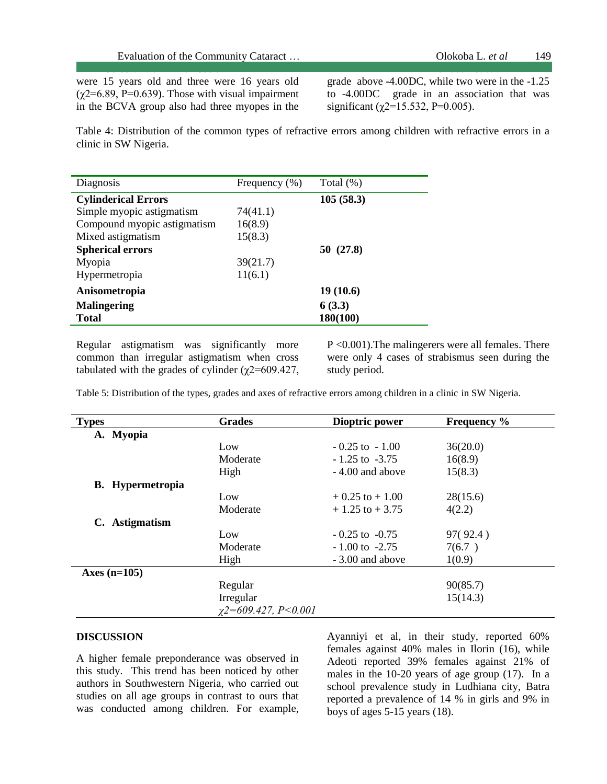were 15 years old and three were 16 years old  $(\gamma 2=6.89, P=0.639)$ . Those with visual impairment in the BCVA group also had three myopes in the grade above -4.00DC, while two were in the -1.25 to -4.00DC grade in an association that was significant ( $\gamma$ 2=15.532, P=0.005).

Table 4: Distribution of the common types of refractive errors among children with refractive errors in a clinic in SW Nigeria.

Cerebral Vein Thrombosis Feridoun S. *et al*

| Diagnosis                   | Frequency $(\% )$ | Total (%) |
|-----------------------------|-------------------|-----------|
| <b>Cylinderical Errors</b>  | 105(58.3)         |           |
| Simple myopic astigmatism   | 74(41.1)          |           |
| Compound myopic astigmatism | 16(8.9)           |           |
| Mixed astigmatism           | 15(8.3)           |           |
| <b>Spherical errors</b>     |                   | 50(27.8)  |
| Myopia                      | 39(21.7)          |           |
| Hypermetropia               | 11(6.1)           |           |
| Anisometropia               |                   | 19(10.6)  |
| <b>Malingering</b>          | 6(3.3)            |           |
| <b>Total</b>                |                   | 180(100)  |

Regular astigmatism was significantly more common than irregular astigmatism when cross tabulated with the grades of cylinder  $(\chi$ 2=609.427, P <0.001).The malingerers were all females. There were only 4 cases of strabismus seen during the study period.

Table 5: Distribution of the types, grades and axes of refractive errors among children in a clinic in SW Nigeria.

| <b>Types</b> |                         | <b>Grades</b>             | Dioptric power     | <b>Frequency</b> % |
|--------------|-------------------------|---------------------------|--------------------|--------------------|
|              | A. Myopia               |                           |                    |                    |
|              |                         | Low                       | $-0.25$ to $-1.00$ | 36(20.0)           |
|              |                         | Moderate                  | $-1.25$ to $-3.75$ | 16(8.9)            |
|              |                         | High                      | - 4.00 and above   | 15(8.3)            |
|              | <b>B.</b> Hypermetropia |                           |                    |                    |
|              |                         | Low                       | $+0.25$ to $+1.00$ | 28(15.6)           |
|              |                         | Moderate                  | $+1.25$ to $+3.75$ | 4(2.2)             |
|              | C. Astigmatism          |                           |                    |                    |
|              |                         | Low                       | $-0.25$ to $-0.75$ | 97(92.4)           |
|              |                         | Moderate                  | $-1.00$ to $-2.75$ | 7(6.7)             |
|              |                         | High                      | - 3.00 and above   | 1(0.9)             |
|              | Axes $(n=105)$          |                           |                    |                    |
|              |                         | Regular                   |                    | 90(85.7)           |
|              |                         | Irregular                 |                    | 15(14.3)           |
|              |                         | $\chi$ 2=609.427, P<0.001 |                    |                    |

#### **DISCUSSION**

A higher female preponderance was observed in this study. This trend has been noticed by other authors in Southwestern Nigeria, who carried out studies on all age groups in contrast to ours that was conducted among children. For example,

Ayanniyi et al, in their study, reported 60% females against 40% males in Ilorin (16), while Adeoti reported 39% females against 21% of males in the 10-20 years of age group (17). In a school prevalence study in Ludhiana city, Batra reported a prevalence of 14 % in girls and 9% in boys of ages 5-15 years (18).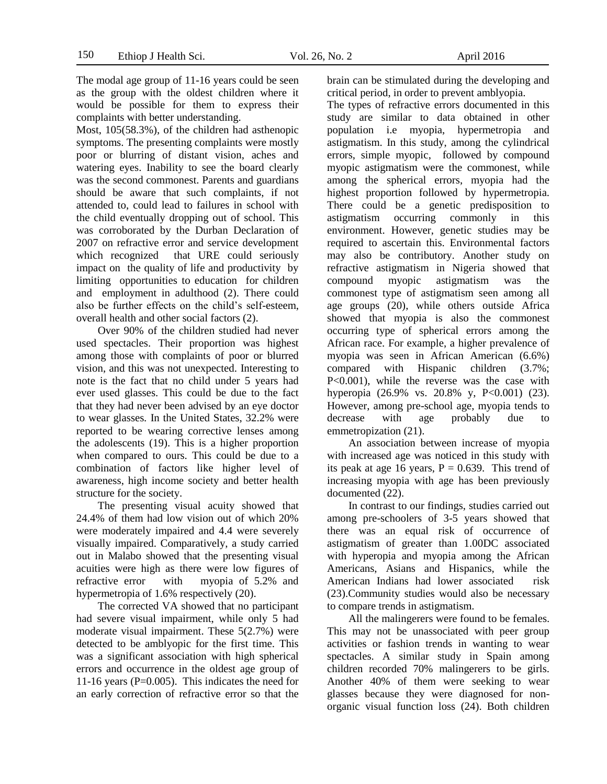The modal age group of 11-16 years could be seen as the group with the oldest children where it would be possible for them to express their complaints with better understanding.

Most, 105(58.3%), of the children had asthenopic symptoms. The presenting complaints were mostly poor or blurring of distant vision, aches and watering eyes. Inability to see the board clearly was the second commonest. Parents and guardians should be aware that such complaints, if not attended to, could lead to failures in school with the child eventually dropping out of school. This was corroborated by the Durban Declaration of 2007 on refractive error and service development which recognized that URE could seriously impact on the quality of life and productivity by limiting opportunities to education for children and employment in adulthood (2). There could also be further effects on the child's self-esteem, overall health and other social factors (2).

Over 90% of the children studied had never used spectacles. Their proportion was highest among those with complaints of poor or blurred vision, and this was not unexpected*.* Interesting to note is the fact that no child under 5 years had ever used glasses. This could be due to the fact that they had never been advised by an eye doctor to wear glasses*.* In the United States, 32.2% were reported to be wearing corrective lenses among the adolescents (19). This is a higher proportion when compared to ours. This could be due to a combination of factors like higher level of awareness, high income society and better health structure for the society.

The presenting visual acuity showed that 24.4% of them had low vision out of which 20% were moderately impaired and 4.4 were severely visually impaired. Comparatively, a study carried out in Malabo showed that the presenting visual acuities were high as there were low figures of refractive error with myopia of 5.2% and hypermetropia of 1.6% respectively (20).

The corrected VA showed that no participant had severe visual impairment, while only 5 had moderate visual impairment. These 5(2.7%) were detected to be amblyopic for the first time. This was a significant association with high spherical errors and occurrence in the oldest age group of 11-16 years (P=0.005). This indicates the need for an early correction of refractive error so that the

brain can be stimulated during the developing and critical period, in order to prevent amblyopia.

The types of refractive errors documented in this study are similar to data obtained in other population i.e myopia, hypermetropia and astigmatism. In this study, among the cylindrical errors, simple myopic, followed by compound myopic astigmatism were the commonest, while among the spherical errors, myopia had the highest proportion followed by hypermetropia. There could be a genetic predisposition to astigmatism occurring commonly in this environment. However, genetic studies may be required to ascertain this. Environmental factors may also be contributory. Another study on refractive astigmatism in Nigeria showed that compound myopic astigmatism was the commonest type of astigmatism seen among all age groups (20), while others outside Africa showed that myopia is also the commonest occurring type of spherical errors among the African race. For example, a higher prevalence of myopia was seen in African American (6.6%) compared with Hispanic children (3.7%; P<0.001), while the reverse was the case with hyperopia (26.9% vs. 20.8% y, P<0.001) (23). However, among pre-school age, myopia tends to decrease with age probably due to emmetropization (21).

An association between increase of myopia with increased age was noticed in this study with its peak at age 16 years,  $P = 0.639$ . This trend of increasing myopia with age has been previously documented (22).

In contrast to our findings, studies carried out among pre-schoolers of 3-5 years showed that there was an equal risk of occurrence of astigmatism of greater than 1.00DC associated with hyperopia and myopia among the African Americans, Asians and Hispanics, while the American Indians had lower associated risk (23).Community studies would also be necessary to compare trends in astigmatism.

All the malingerers were found to be females. This may not be unassociated with peer group activities or fashion trends in wanting to wear spectacles. A similar study in Spain among children recorded 70% malingerers to be girls. Another 40% of them were seeking to wear glasses because they were diagnosed for nonorganic visual function loss (24). Both children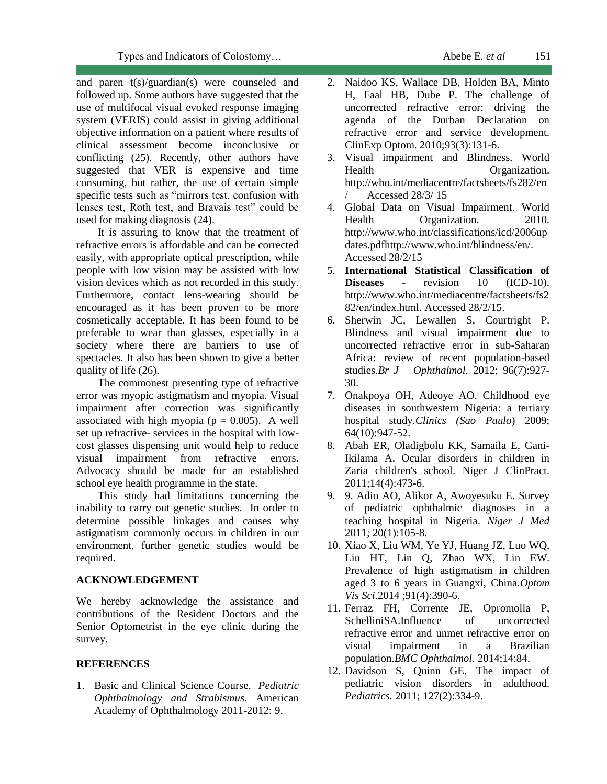and paren t(s)/guardian(s) were counseled and followed up. Some authors have suggested that the use of multifocal visual evoked response imaging system (VERIS) could assist in giving additional objective information on a patient where results of clinical assessment become inconclusive or conflicting (25). Recently, other authors have suggested that VER is expensive and time consuming, but rather, the use of certain simple specific tests such as "mirrors test, confusion with lenses test, Roth test, and Bravais test" could be used for making diagnosis (24).

It is assuring to know that the treatment of refractive errors is affordable and can be corrected easily, with appropriate optical prescription, while people with low vision may be assisted with low vision devices which as not recorded in this study. Furthermore, contact lens-wearing should be encouraged as it has been proven to be more cosmetically acceptable. It has been found to be preferable to wear than glasses, especially in a society where there are barriers to use of spectacles. It also has been shown to give a better quality of life (26).

The commonest presenting type of refractive error was myopic astigmatism and myopia. Visual impairment after correction was significantly associated with high myopia ( $p = 0.005$ ). A well set up refractive- services in the hospital with lowcost glasses dispensing unit would help to reduce visual impairment from refractive errors. Advocacy should be made for an established school eye health programme in the state.

This study had limitations concerning the inability to carry out genetic studies. In order to determine possible linkages and causes why astigmatism commonly occurs in children in our environment, further genetic studies would be required.

#### **ACKNOWLEDGEMENT**

We hereby acknowledge the assistance and contributions of the Resident Doctors and the Senior Optometrist in the eye clinic during the survey.

## **REFERENCES**

1. Basic and Clinical Science Course. *Pediatric Ophthalmology and Strabismus.* American Academy of Ophthalmology 2011-2012: 9.

- 2. [Naidoo KS,](http://www.ncbi.nlm.nih.gov/pubmed?term=%22Naidoo%20KS%22%5BAuthor%5D) [Wallace DB,](http://www.ncbi.nlm.nih.gov/pubmed?term=%22Wallace%20DB%22%5BAuthor%5D) [Holden BA,](http://www.ncbi.nlm.nih.gov/pubmed?term=%22Holden%20BA%22%5BAuthor%5D) [Minto](http://www.ncbi.nlm.nih.gov/pubmed?term=%22Minto%20H%22%5BAuthor%5D)  [H,](http://www.ncbi.nlm.nih.gov/pubmed?term=%22Minto%20H%22%5BAuthor%5D) [Faal HB,](http://www.ncbi.nlm.nih.gov/pubmed?term=%22Faal%20HB%22%5BAuthor%5D) [Dube P.](http://www.ncbi.nlm.nih.gov/pubmed?term=%22Dube%20P%22%5BAuthor%5D) The challenge of uncorrected refractive error: driving the agenda of the Durban Declaration on refractive error and service development. [ClinExp Optom.](javascript:AL_get(this,%20) 2010;93(3):131-6.
- 3. Visual impairment and Blindness. World Health Organization. [http://who.int/mediacentre/factsheets/fs282/en](http://who.int/mediacentre/factsheets/fs282/en/) [/](http://who.int/mediacentre/factsheets/fs282/en/) Accessed 28/3/ 15
- 4. Global Data on Visual Impairment. World Health Organization. 2010. [http://www.who.int/classifications/icd/2006up](http://www.who.int/classifications/icd/2006updates.pdf) [dates.pdf](http://www.who.int/classifications/icd/2006updates.pdf)[http://www.who.int/blindness/en/.](http://www.who.int/blindness/en/) Accessed 28/2/15
- 5. **International Statistical Classification of Diseases** - revision 10 (ICD-10). [http://www.who.int/mediacentre/factsheets/fs2](http://www.who.int/mediacentre/factsheets/fs282/en/index.html.%20Accessed%2028/2/15) [82/en/index.html. Accessed 28/2/15.](http://www.who.int/mediacentre/factsheets/fs282/en/index.html.%20Accessed%2028/2/15)
- 6. Sherwin JC, Lewallen S, Courtright P. Blindness and visual impairment due to uncorrected refractive error in sub-Saharan Africa: review of recent population-based studies.*Br J Ophthalmol*. 2012; 96(7):927- 30.
- 7. Onakpoya OH, Adeoye AO. Childhood eye diseases in southwestern Nigeria: a tertiary hospital study.*Clinics (Sao Paulo*) 2009; 64(10):947-52.
- 8. Abah ER, Oladigbolu KK, Samaila E, Gani-Ikilama A. Ocular disorders in children in Zaria children's school. Niger J ClinPract. 2011;14(4):473-6.
- 9. 9. Adio AO, Alikor A, Awoyesuku E. Survey of pediatric ophthalmic diagnoses in a teaching hospital in Nigeria. *Niger J Med* 2011; 20(1):105-8.
- 10. [Xiao X,](http://www.ncbi.nlm.nih.gov/pubmed/?term=Xiao%20X%5BAuthor%5D&cauthor=true&cauthor_uid=24637478) [Liu WM,](http://www.ncbi.nlm.nih.gov/pubmed/?term=Liu%20WM%5BAuthor%5D&cauthor=true&cauthor_uid=24637478) [Ye YJ,](http://www.ncbi.nlm.nih.gov/pubmed/?term=Ye%20YJ%5BAuthor%5D&cauthor=true&cauthor_uid=24637478) [Huang JZ,](http://www.ncbi.nlm.nih.gov/pubmed/?term=Huang%20JZ%5BAuthor%5D&cauthor=true&cauthor_uid=24637478) [Luo WQ,](http://www.ncbi.nlm.nih.gov/pubmed/?term=Luo%20WQ%5BAuthor%5D&cauthor=true&cauthor_uid=24637478) [Liu HT,](http://www.ncbi.nlm.nih.gov/pubmed/?term=Liu%20HT%5BAuthor%5D&cauthor=true&cauthor_uid=24637478) [Lin Q,](http://www.ncbi.nlm.nih.gov/pubmed/?term=Lin%20Q%5BAuthor%5D&cauthor=true&cauthor_uid=24637478) [Zhao WX,](http://www.ncbi.nlm.nih.gov/pubmed/?term=Zhao%20WX%5BAuthor%5D&cauthor=true&cauthor_uid=24637478) [Lin EW.](http://www.ncbi.nlm.nih.gov/pubmed/?term=Lin%20EW%5BAuthor%5D&cauthor=true&cauthor_uid=24637478) [Prevalence of high astigmatism in children](http://www.ncbi.nlm.nih.gov/pubmed/24637478) [aged 3 to 6 years in Guangxi, China.](http://www.ncbi.nlm.nih.gov/pubmed/24637478)*[Optom](http://www.ncbi.nlm.nih.gov/pubmed)  [Vis Sci](http://www.ncbi.nlm.nih.gov/pubmed)*.2014 ;91(4):390-6.
- 11. [Ferraz FH,](http://www.ncbi.nlm.nih.gov/pubmed/?term=Ferraz%20FH%5BAuthor%5D&cauthor=true&cauthor_uid=24965318) [Corrente JE,](http://www.ncbi.nlm.nih.gov/pubmed/?term=Corrente%20JE%5BAuthor%5D&cauthor=true&cauthor_uid=24965318) [Opromolla P,](http://www.ncbi.nlm.nih.gov/pubmed/?term=Opromolla%20P%5BAuthor%5D&cauthor=true&cauthor_uid=24965318) [SchelliniSA](http://www.ncbi.nlm.nih.gov/pubmed/?term=Schellini%20SA%5BAuthor%5D&cauthor=true&cauthor_uid=24965318)[.Influence of uncorrected](http://www.ncbi.nlm.nih.gov/pubmed/24965318)  refractive error [and unmet refractive error](http://www.ncbi.nlm.nih.gov/pubmed/24965318) on visual [impairment in a Brazilian](http://www.ncbi.nlm.nih.gov/pubmed/24965318)  [population.](http://www.ncbi.nlm.nih.gov/pubmed/24965318)*[BMC Ophthalmol](http://www.ncbi.nlm.nih.gov/pubmed)*. 2014;14:84.
- 12. Davidson S, Quinn GE. The impact of pediatric vision disorders in adulthood. *Pediatrics.* 2011; 127(2):334-9.